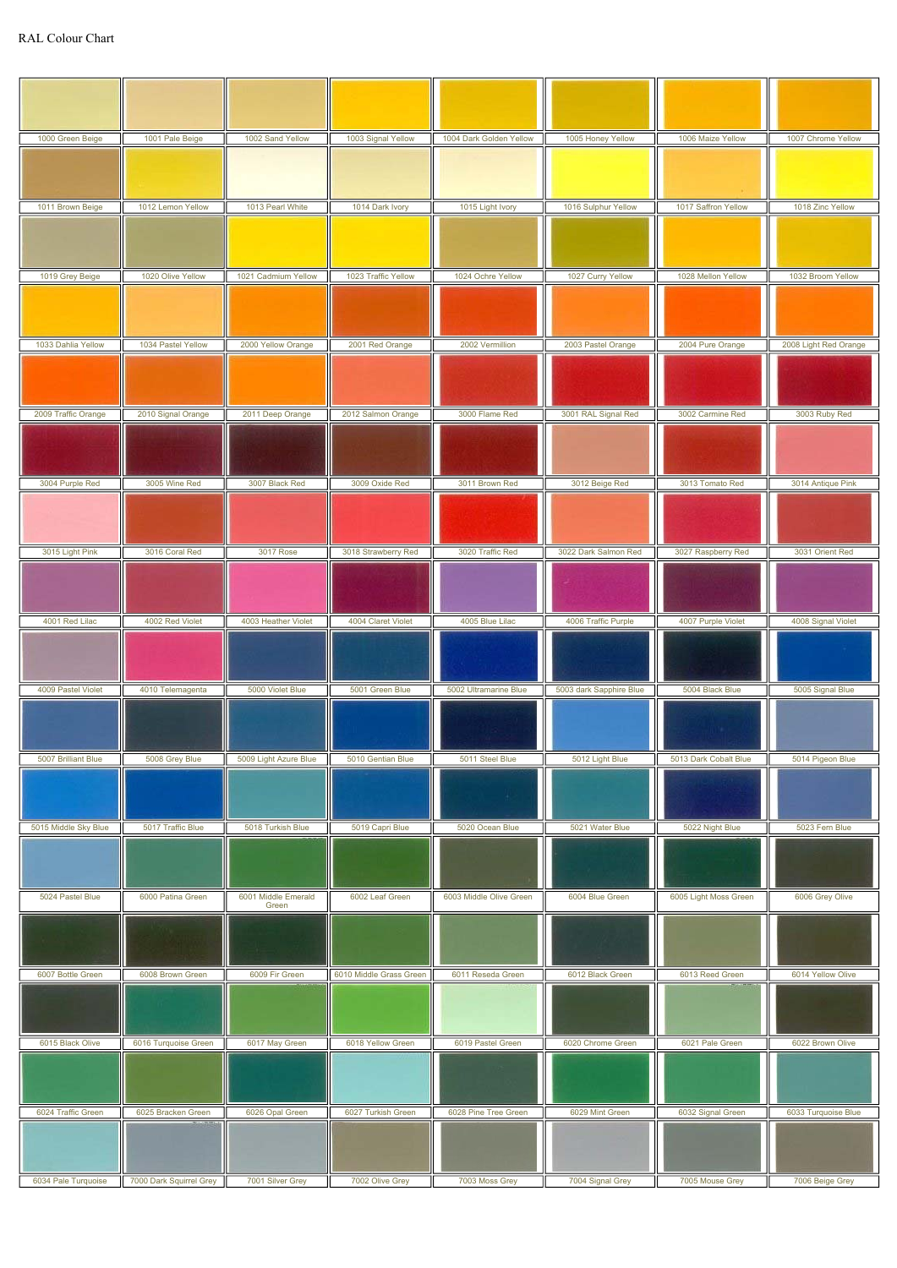| 1000 Green Beige     | 1001 Pale Beige      | 1002 Sand Yellow             | 1003 Signal Yellow      | 1004 Dark Golden Yellow | 1005 Honey Yellow       | 1006 Maize Yellow     | 1007 Chrome Yellow    |
|----------------------|----------------------|------------------------------|-------------------------|-------------------------|-------------------------|-----------------------|-----------------------|
|                      |                      |                              |                         |                         |                         |                       |                       |
| 1011 Brown Beige     | 1012 Lemon Yellow    | 1013 Pearl White             | 1014 Dark Ivory         | 1015 Light Ivory        | 1016 Sulphur Yellow     | 1017 Saffron Yellow   | 1018 Zinc Yellow      |
|                      |                      |                              |                         |                         |                         |                       |                       |
|                      |                      |                              |                         |                         |                         |                       |                       |
| 1019 Grey Beige      | 1020 Olive Yellow    | 1021 Cadmium Yellow          | 1023 Traffic Yellow     | 1024 Ochre Yellow       | 1027 Curry Yellow       | 1028 Mellon Yellow    | 1032 Broom Yellow     |
|                      |                      |                              |                         |                         |                         |                       |                       |
| 1033 Dahlia Yellow   | 1034 Pastel Yellow   | 2000 Yellow Orange           | 2001 Red Orange         | 2002 Vermillion         | 2003 Pastel Orange      | 2004 Pure Orange      | 2008 Light Red Orange |
|                      |                      |                              |                         |                         |                         |                       |                       |
|                      |                      |                              |                         |                         |                         |                       |                       |
| 2009 Traffic Orange  | 2010 Signal Orange   | 2011 Deep Orange             | 2012 Salmon Orange      | 3000 Flame Red          | 3001 RAL Signal Red     | 3002 Carmine Red      | 3003 Ruby Red         |
|                      |                      |                              |                         |                         |                         |                       |                       |
| 3004 Purple Red      | 3005 Wine Red        | 3007 Black Red               | 3009 Oxide Red          | 3011 Brown Red          | 3012 Beige Red          | 3013 Tomato Red       | 3014 Antique Pink     |
|                      |                      |                              |                         |                         |                         |                       |                       |
|                      |                      |                              |                         |                         |                         |                       |                       |
| 3015 Light Pink      | 3016 Coral Red       | 3017 Rose                    | 3018 Strawberry Red     | 3020 Traffic Red        | 3022 Dark Salmon Red    | 3027 Raspberry Red    | 3031 Orient Red       |
|                      |                      |                              |                         |                         |                         |                       |                       |
| 4001 Red Lilac       | 4002 Red Violet      | 4003 Heather Violet          | 4004 Claret Violet      | 4005 Blue Lilac         | 4006 Traffic Purple     | 4007 Purple Violet    | 4008 Signal Violet    |
|                      |                      |                              |                         |                         |                         |                       |                       |
| 4009 Pastel Violet   | 4010 Telemagenta     |                              |                         |                         |                         |                       |                       |
|                      |                      | 5000 Violet Blue             | 5001 Green Blue         | 5002 Ultramarine Blue   | 5003 dark Sapphire Blue | 5004 Black Blue       | 5005 Signal Blue      |
|                      |                      |                              |                         |                         |                         |                       |                       |
| 5007 Brilliant Blue  | 5008 Grey Blue       | 5009 Light Azure Blue        | 5010 Gentian Blue       | 5011 Steel Blue         | 5012 Light Blue         | 5013 Dark Cobalt Blue | 5014 Pigeon Blue      |
|                      |                      |                              |                         |                         |                         |                       |                       |
| 5015 Middle Sky Blue | 5017 Traffic Blue    | 5018 Turkish Blue            | 5019 Capri Blue         | 5020 Ocean Blue         | 5021 Water Blue         | 5022 Night Blue       | 5023 Fern Blue        |
|                      |                      |                              |                         |                         |                         |                       |                       |
| 5024 Pastel Blue     | 6000 Patina Green    | 6001 Middle Emerald<br>Green | 6002 Leaf Green         | 6003 Middle Olive Green | 6004 Blue Green         | 6005 Light Moss Green | 6006 Grey Olive       |
|                      |                      |                              |                         |                         |                         |                       |                       |
| 6007 Bottle Green    | 6008 Brown Green     | 6009 Fir Green               | 6010 Middle Grass Green | 6011 Reseda Green       | 6012 Black Green        | 6013 Reed Green       | 6014 Yellow Olive     |
|                      |                      |                              |                         |                         |                         |                       |                       |
| 6015 Black Olive     | 6016 Turquoise Green | 6017 May Green               | 6018 Yellow Green       | 6019 Pastel Green       | 6020 Chrome Green       | 6021 Pale Green       | 6022 Brown Olive      |
|                      |                      |                              |                         |                         |                         |                       |                       |
| 6024 Traffic Green   | 6025 Bracken Green   | 6026 Opal Green              | 6027 Turkish Green      | 6028 Pine Tree Green    | 6029 Mint Green         | 6032 Signal Green     | 6033 Turquoise Blue   |
|                      |                      |                              |                         |                         |                         |                       |                       |